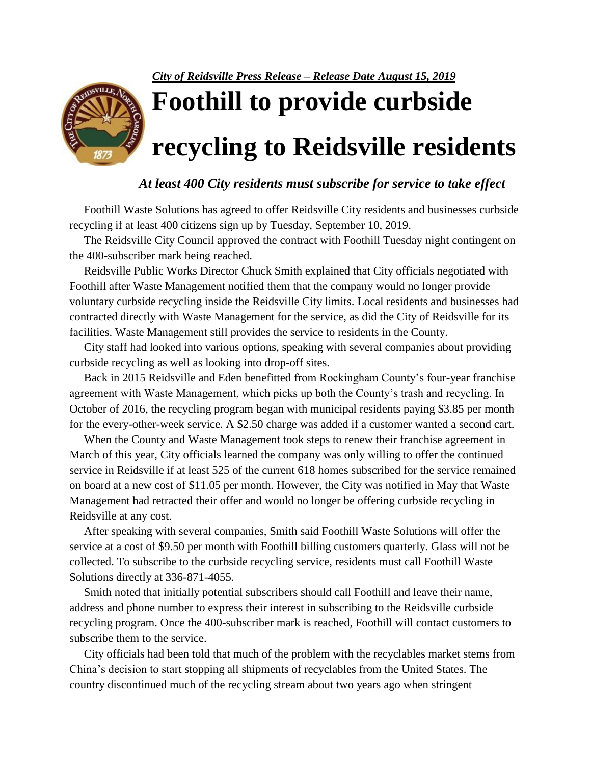*City of Reidsville Press Release – Release Date August 15, 2019*



**Foothill to provide curbside recycling to Reidsville residents**

## *At least 400 City residents must subscribe for service to take effect*

 Foothill Waste Solutions has agreed to offer Reidsville City residents and businesses curbside recycling if at least 400 citizens sign up by Tuesday, September 10, 2019.

 The Reidsville City Council approved the contract with Foothill Tuesday night contingent on the 400-subscriber mark being reached.

 Reidsville Public Works Director Chuck Smith explained that City officials negotiated with Foothill after Waste Management notified them that the company would no longer provide voluntary curbside recycling inside the Reidsville City limits. Local residents and businesses had contracted directly with Waste Management for the service, as did the City of Reidsville for its facilities. Waste Management still provides the service to residents in the County.

 City staff had looked into various options, speaking with several companies about providing curbside recycling as well as looking into drop-off sites.

 Back in 2015 Reidsville and Eden benefitted from Rockingham County's four-year franchise agreement with Waste Management, which picks up both the County's trash and recycling. In October of 2016, the recycling program began with municipal residents paying \$3.85 per month for the every-other-week service. A \$2.50 charge was added if a customer wanted a second cart.

 When the County and Waste Management took steps to renew their franchise agreement in March of this year, City officials learned the company was only willing to offer the continued service in Reidsville if at least 525 of the current 618 homes subscribed for the service remained on board at a new cost of \$11.05 per month. However, the City was notified in May that Waste Management had retracted their offer and would no longer be offering curbside recycling in Reidsville at any cost.

 After speaking with several companies, Smith said Foothill Waste Solutions will offer the service at a cost of \$9.50 per month with Foothill billing customers quarterly. Glass will not be collected. To subscribe to the curbside recycling service, residents must call Foothill Waste Solutions directly at 336-871-4055.

 Smith noted that initially potential subscribers should call Foothill and leave their name, address and phone number to express their interest in subscribing to the Reidsville curbside recycling program. Once the 400-subscriber mark is reached, Foothill will contact customers to subscribe them to the service.

 City officials had been told that much of the problem with the recyclables market stems from China's decision to start stopping all shipments of recyclables from the United States. The country discontinued much of the recycling stream about two years ago when stringent